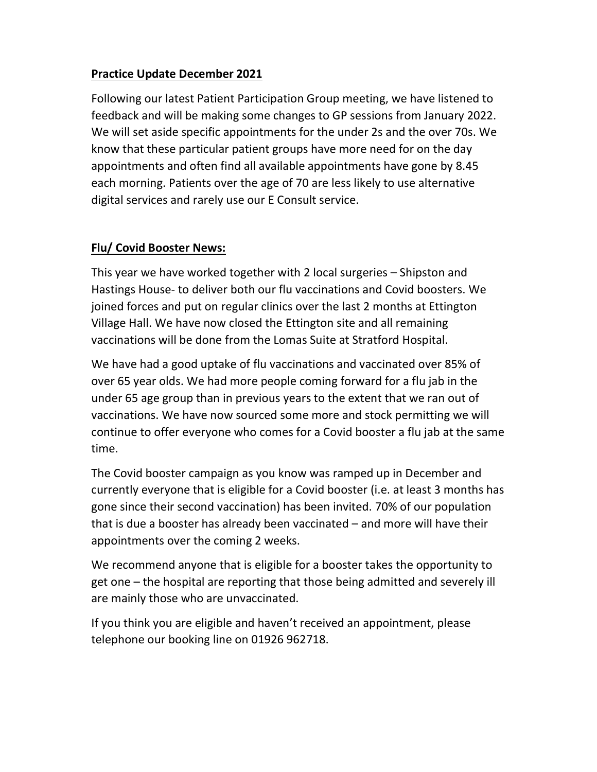# Practice Update December 2021

Following our latest Patient Participation Group meeting, we have listened to feedback and will be making some changes to GP sessions from January 2022. We will set aside specific appointments for the under 2s and the over 70s. We know that these particular patient groups have more need for on the day appointments and often find all available appointments have gone by 8.45 each morning. Patients over the age of 70 are less likely to use alternative digital services and rarely use our E Consult service.

# Flu/ Covid Booster News:

This year we have worked together with 2 local surgeries – Shipston and Hastings House- to deliver both our flu vaccinations and Covid boosters. We joined forces and put on regular clinics over the last 2 months at Ettington Village Hall. We have now closed the Ettington site and all remaining vaccinations will be done from the Lomas Suite at Stratford Hospital.

We have had a good uptake of flu vaccinations and vaccinated over 85% of over 65 year olds. We had more people coming forward for a flu jab in the under 65 age group than in previous years to the extent that we ran out of vaccinations. We have now sourced some more and stock permitting we will continue to offer everyone who comes for a Covid booster a flu jab at the same time.

The Covid booster campaign as you know was ramped up in December and currently everyone that is eligible for a Covid booster (i.e. at least 3 months has gone since their second vaccination) has been invited. 70% of our population that is due a booster has already been vaccinated – and more will have their appointments over the coming 2 weeks.

We recommend anyone that is eligible for a booster takes the opportunity to get one – the hospital are reporting that those being admitted and severely ill are mainly those who are unvaccinated.

If you think you are eligible and haven't received an appointment, please telephone our booking line on 01926 962718.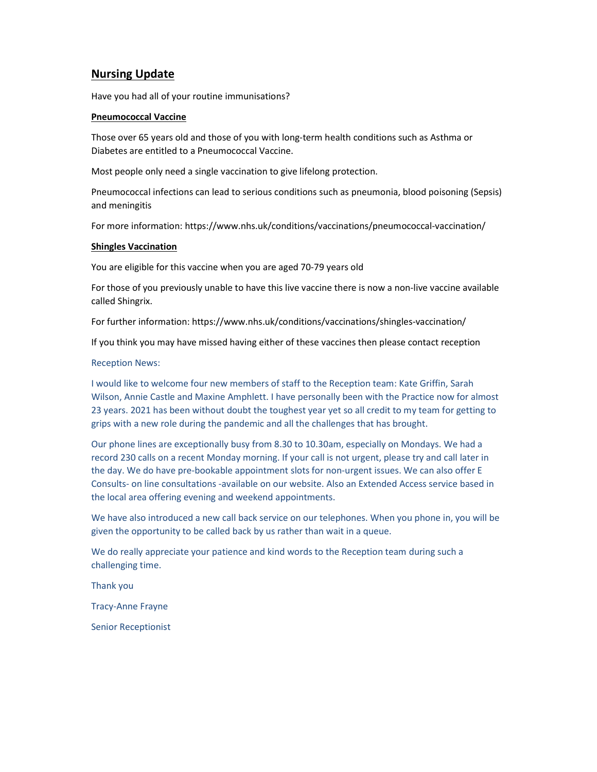## **Nursing Update**

Have you had all of your routine immunisations?

#### Pneumococcal Vaccine

Those over 65 years old and those of you with long-term health conditions such as Asthma or Diabetes are entitled to a Pneumococcal Vaccine.

Most people only need a single vaccination to give lifelong protection.

Pneumococcal infections can lead to serious conditions such as pneumonia, blood poisoning (Sepsis) and meningitis

For more information: https://www.nhs.uk/conditions/vaccinations/pneumococcal-vaccination/

### Shingles Vaccination

You are eligible for this vaccine when you are aged 70-79 years old

For those of you previously unable to have this live vaccine there is now a non-live vaccine available called Shingrix.

For further information: https://www.nhs.uk/conditions/vaccinations/shingles-vaccination/

If you think you may have missed having either of these vaccines then please contact reception

#### Reception News:

I would like to welcome four new members of staff to the Reception team: Kate Griffin, Sarah Wilson, Annie Castle and Maxine Amphlett. I have personally been with the Practice now for almost 23 years. 2021 has been without doubt the toughest year yet so all credit to my team for getting to grips with a new role during the pandemic and all the challenges that has brought.

Our phone lines are exceptionally busy from 8.30 to 10.30am, especially on Mondays. We had a record 230 calls on a recent Monday morning. If your call is not urgent, please try and call later in the day. We do have pre-bookable appointment slots for non-urgent issues. We can also offer E Consults- on line consultations -available on our website. Also an Extended Access service based in the local area offering evening and weekend appointments.

We have also introduced a new call back service on our telephones. When you phone in, you will be given the opportunity to be called back by us rather than wait in a queue.

We do really appreciate your patience and kind words to the Reception team during such a challenging time.

Thank you

Tracy-Anne Frayne

Senior Receptionist